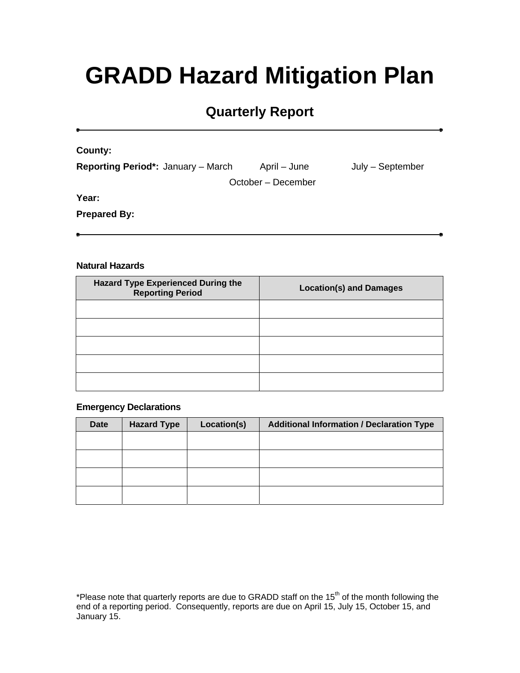# **GRADD Hazard Mitigation Plan**

# **Quarterly Report**

**County:**

| <b>Reporting Period*: January - March</b> | April – June | July – September |
|-------------------------------------------|--------------|------------------|
|                                           |              |                  |

October – December

**Year:**

**Prepared By:**

#### **Natural Hazards**

| <b>Hazard Type Experienced During the</b><br><b>Reporting Period</b> | <b>Location(s) and Damages</b> |
|----------------------------------------------------------------------|--------------------------------|
|                                                                      |                                |
|                                                                      |                                |
|                                                                      |                                |
|                                                                      |                                |
|                                                                      |                                |

#### **Emergency Declarations**

| <b>Date</b> | <b>Hazard Type</b> | Location(s) | <b>Additional Information / Declaration Type</b> |
|-------------|--------------------|-------------|--------------------------------------------------|
|             |                    |             |                                                  |
|             |                    |             |                                                  |
|             |                    |             |                                                  |
|             |                    |             |                                                  |

\*Please note that quarterly reports are due to GRADD staff on the 15<sup>th</sup> of the month following the end of a reporting period. Consequently, reports are due on April 15, July 15, October 15, and January 15.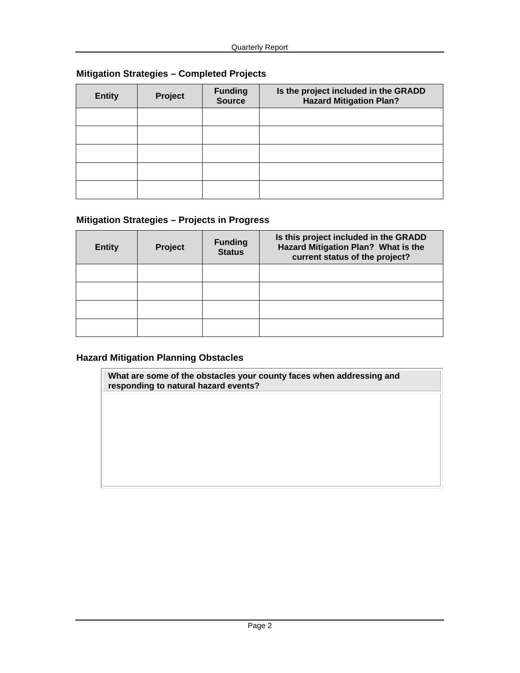# **Mitigation Strategies – Completed Projects**

| <b>Entity</b> | Project | <b>Funding</b><br>Source | Is the project included in the GRADD<br><b>Hazard Mitigation Plan?</b> |
|---------------|---------|--------------------------|------------------------------------------------------------------------|
|               |         |                          |                                                                        |
|               |         |                          |                                                                        |
|               |         |                          |                                                                        |
|               |         |                          |                                                                        |
|               |         |                          |                                                                        |

# **Mitigation Strategies – Projects in Progress**

| <b>Entity</b> | <b>Project</b> | <b>Funding</b><br><b>Status</b> | Is this project included in the GRADD<br>Hazard Mitigation Plan? What is the<br>current status of the project? |
|---------------|----------------|---------------------------------|----------------------------------------------------------------------------------------------------------------|
|               |                |                                 |                                                                                                                |
|               |                |                                 |                                                                                                                |
|               |                |                                 |                                                                                                                |
|               |                |                                 |                                                                                                                |

### **Hazard Mitigation Planning Obstacles**

**What are some of the obstacles your county faces when addressing and responding to natural hazard events?**